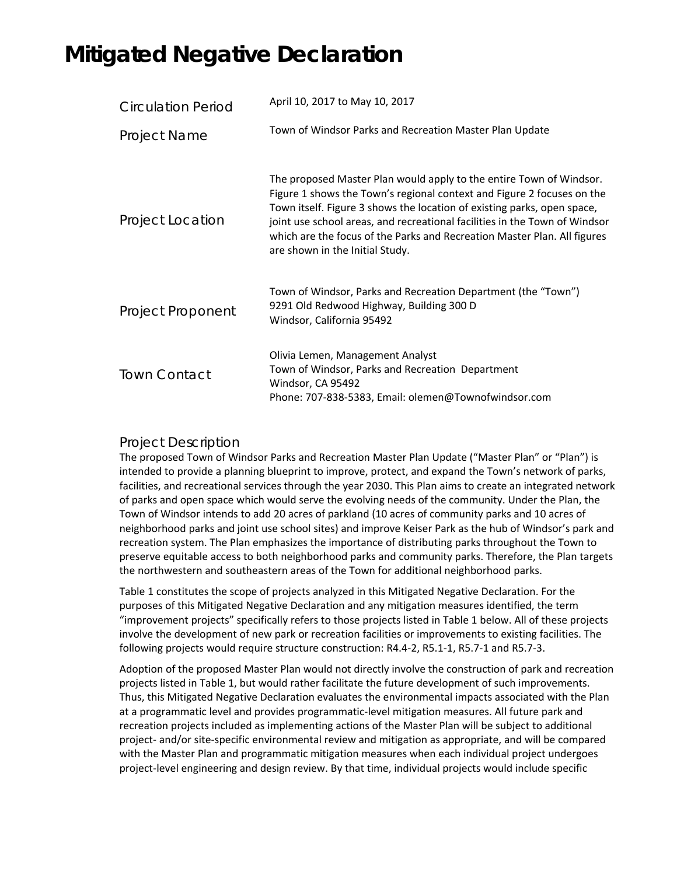## **Mitigated Negative Declaration**

| <b>Circulation Period</b> | April 10, 2017 to May 10, 2017                                                                                                                                                                                                                                                                                                                                                                                        |
|---------------------------|-----------------------------------------------------------------------------------------------------------------------------------------------------------------------------------------------------------------------------------------------------------------------------------------------------------------------------------------------------------------------------------------------------------------------|
| Project Name              | Town of Windsor Parks and Recreation Master Plan Update                                                                                                                                                                                                                                                                                                                                                               |
| Project Location          | The proposed Master Plan would apply to the entire Town of Windsor.<br>Figure 1 shows the Town's regional context and Figure 2 focuses on the<br>Town itself. Figure 3 shows the location of existing parks, open space,<br>joint use school areas, and recreational facilities in the Town of Windsor<br>which are the focus of the Parks and Recreation Master Plan. All figures<br>are shown in the Initial Study. |
| Project Proponent         | Town of Windsor, Parks and Recreation Department (the "Town")<br>9291 Old Redwood Highway, Building 300 D<br>Windsor, California 95492                                                                                                                                                                                                                                                                                |
| <b>Town Contact</b>       | Olivia Lemen, Management Analyst<br>Town of Windsor, Parks and Recreation Department<br>Windsor, CA 95492<br>Phone: 707-838-5383, Email: olemen@Townofwindsor.com                                                                                                                                                                                                                                                     |

## Project Description

The proposed Town of Windsor Parks and Recreation Master Plan Update ("Master Plan" or "Plan") is intended to provide a planning blueprint to improve, protect, and expand the Town's network of parks, facilities, and recreational services through the year 2030. This Plan aims to create an integrated network of parks and open space which would serve the evolving needs of the community. Under the Plan, the Town of Windsor intends to add 20 acres of parkland (10 acres of community parks and 10 acres of neighborhood parks and joint use school sites) and improve Keiser Park as the hub of Windsor's park and recreation system. The Plan emphasizes the importance of distributing parks throughout the Town to preserve equitable access to both neighborhood parks and community parks. Therefore, the Plan targets the northwestern and southeastern areas of the Town for additional neighborhood parks.

Table 1 constitutes the scope of projects analyzed in this Mitigated Negative Declaration. For the purposes of this Mitigated Negative Declaration and any mitigation measures identified, the term "improvement projects" specifically refers to those projects listed in Table 1 below. All of these projects involve the development of new park or recreation facilities or improvements to existing facilities. The following projects would require structure construction: R4.4‐2, R5.1‐1, R5.7‐1 and R5.7‐3.

Adoption of the proposed Master Plan would not directly involve the construction of park and recreation projects listed in Table 1, but would rather facilitate the future development of such improvements. Thus, this Mitigated Negative Declaration evaluates the environmental impacts associated with the Plan at a programmatic level and provides programmatic‐level mitigation measures. All future park and recreation projects included as implementing actions of the Master Plan will be subject to additional project- and/or site-specific environmental review and mitigation as appropriate, and will be compared with the Master Plan and programmatic mitigation measures when each individual project undergoes project-level engineering and design review. By that time, individual projects would include specific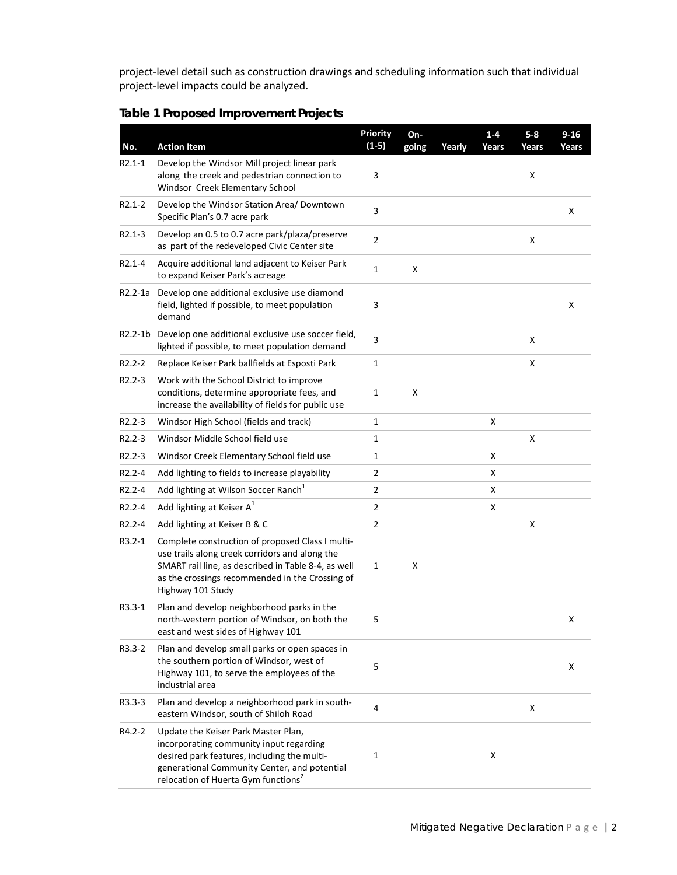project‐level detail such as construction drawings and scheduling information such that individual project‐level impacts could be analyzed.

|  |  | <b>Table 1 Proposed Improvement Projects</b> |  |
|--|--|----------------------------------------------|--|
|--|--|----------------------------------------------|--|

| No.                 | <b>Action Item</b>                                                                                                                                                                                                                | <b>Priority</b><br>$(1-5)$ | On-<br>going | Yearly | $1 - 4$<br>Years | $5 - 8$<br>Years | $9 - 16$<br>Years |
|---------------------|-----------------------------------------------------------------------------------------------------------------------------------------------------------------------------------------------------------------------------------|----------------------------|--------------|--------|------------------|------------------|-------------------|
| R2.1-1              | Develop the Windsor Mill project linear park<br>along the creek and pedestrian connection to<br>Windsor Creek Elementary School                                                                                                   | 3                          |              |        |                  | x                |                   |
| $R2.1 - 2$          | Develop the Windsor Station Area/ Downtown<br>Specific Plan's 0.7 acre park                                                                                                                                                       | 3                          |              |        |                  |                  | x                 |
| $R2.1 - 3$          | Develop an 0.5 to 0.7 acre park/plaza/preserve<br>as part of the redeveloped Civic Center site                                                                                                                                    | 2                          |              |        |                  | x                |                   |
| $R2.1 - 4$          | Acquire additional land adjacent to Keiser Park<br>to expand Keiser Park's acreage                                                                                                                                                | $\mathbf{1}$               | X            |        |                  |                  |                   |
| R2.2-1a             | Develop one additional exclusive use diamond<br>field, lighted if possible, to meet population<br>demand                                                                                                                          | 3                          |              |        |                  |                  | x                 |
| R2.2-1b             | Develop one additional exclusive use soccer field,<br>lighted if possible, to meet population demand                                                                                                                              | 3                          |              |        |                  | x                |                   |
| R <sub>2</sub> .2-2 | Replace Keiser Park ballfields at Esposti Park                                                                                                                                                                                    | 1                          |              |        |                  | x                |                   |
| $R2.2 - 3$          | Work with the School District to improve<br>conditions, determine appropriate fees, and<br>increase the availability of fields for public use                                                                                     | 1                          | x            |        |                  |                  |                   |
| $R2.2 - 3$          | Windsor High School (fields and track)                                                                                                                                                                                            | 1                          |              |        | X                |                  |                   |
| $R2.2 - 3$          | Windsor Middle School field use                                                                                                                                                                                                   | 1                          |              |        |                  | х                |                   |
| $R2.2 - 3$          | Windsor Creek Elementary School field use                                                                                                                                                                                         | 1                          |              |        | X                |                  |                   |
| R <sub>2</sub> .2-4 | Add lighting to fields to increase playability                                                                                                                                                                                    | 2                          |              |        | x                |                  |                   |
| R2.2-4              | Add lighting at Wilson Soccer Ranch <sup>1</sup>                                                                                                                                                                                  | 2                          |              |        | x                |                  |                   |
| R <sub>2</sub> .2-4 | Add lighting at Keiser $A^1$                                                                                                                                                                                                      | 2                          |              |        | X                |                  |                   |
| R2.2-4              | Add lighting at Keiser B & C                                                                                                                                                                                                      | 2                          |              |        |                  | X                |                   |
| $R3.2 - 1$          | Complete construction of proposed Class I multi-<br>use trails along creek corridors and along the<br>SMART rail line, as described in Table 8-4, as well<br>as the crossings recommended in the Crossing of<br>Highway 101 Study | 1                          | X            |        |                  |                  |                   |
| $R3.3 - 1$          | Plan and develop neighborhood parks in the<br>north-western portion of Windsor, on both the<br>east and west sides of Highway 101                                                                                                 | 5                          |              |        |                  |                  | x                 |
| R3.3-2              | Plan and develop small parks or open spaces in<br>the southern portion of Windsor, west of<br>Highway 101, to serve the employees of the<br>industrial area                                                                       | 5                          |              |        |                  |                  | х                 |
| $R3.3-3$            | Plan and develop a neighborhood park in south-<br>eastern Windsor, south of Shiloh Road                                                                                                                                           | 4                          |              |        |                  | Χ                |                   |
| R4.2-2              | Update the Keiser Park Master Plan,<br>incorporating community input regarding<br>desired park features, including the multi-<br>generational Community Center, and potential<br>relocation of Huerta Gym functions <sup>2</sup>  | 1                          |              |        | x                |                  |                   |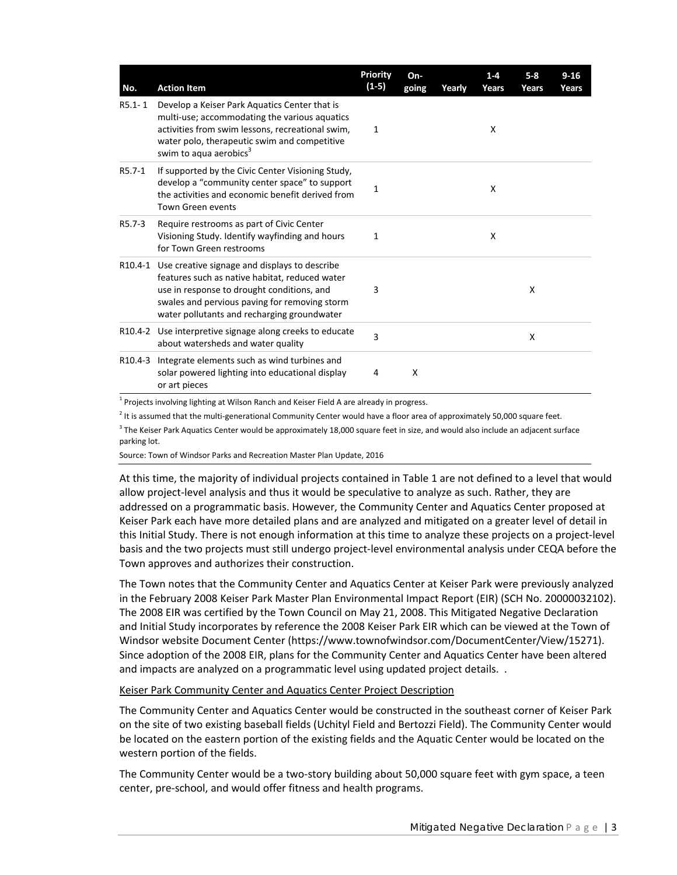| No.        | <b>Action Item</b>                                                                                                                                                                                                                                    | <b>Priority</b><br>$(1-5)$ | On-<br>going | Yearly | $1 - 4$<br><b>Years</b> | $5 - 8$<br>Years | $9 - 16$<br>Years |
|------------|-------------------------------------------------------------------------------------------------------------------------------------------------------------------------------------------------------------------------------------------------------|----------------------------|--------------|--------|-------------------------|------------------|-------------------|
| $R5.1 - 1$ | Develop a Keiser Park Aquatics Center that is<br>multi-use; accommodating the various aquatics<br>activities from swim lessons, recreational swim,<br>water polo, therapeutic swim and competitive<br>swim to aqua aerobics <sup>3</sup>              | 1                          |              |        | X                       |                  |                   |
| R5.7-1     | If supported by the Civic Center Visioning Study,<br>develop a "community center space" to support<br>the activities and economic benefit derived from<br><b>Town Green events</b>                                                                    | $\mathbf{1}$               |              |        | X                       |                  |                   |
| R5.7-3     | Require restrooms as part of Civic Center<br>Visioning Study. Identify wayfinding and hours<br>for Town Green restrooms                                                                                                                               | 1                          |              |        | X                       |                  |                   |
|            | R10.4-1 Use creative signage and displays to describe<br>features such as native habitat, reduced water<br>use in response to drought conditions, and<br>swales and pervious paving for removing storm<br>water pollutants and recharging groundwater | 3                          |              |        |                         | X                |                   |
|            | R10.4-2 Use interpretive signage along creeks to educate<br>about watersheds and water quality                                                                                                                                                        | 3                          |              |        |                         | X                |                   |
|            | R10.4-3 Integrate elements such as wind turbines and<br>solar powered lighting into educational display<br>or art pieces                                                                                                                              | 4                          | X            |        |                         |                  |                   |

 $<sup>1</sup>$  Projects involving lighting at Wilson Ranch and Keiser Field A are already in progress.</sup>

 $2$  It is assumed that the multi-generational Community Center would have a floor area of approximately 50,000 square feet.

 $3$  The Keiser Park Aquatics Center would be approximately 18,000 square feet in size, and would also include an adjacent surface parking lot.

Source: Town of Windsor Parks and Recreation Master Plan Update, 2016

At this time, the majority of individual projects contained in Table 1 are not defined to a level that would allow project‐level analysis and thus it would be speculative to analyze as such. Rather, they are addressed on a programmatic basis. However, the Community Center and Aquatics Center proposed at Keiser Park each have more detailed plans and are analyzed and mitigated on a greater level of detail in this Initial Study. There is not enough information at this time to analyze these projects on a project‐level basis and the two projects must still undergo project‐level environmental analysis under CEQA before the Town approves and authorizes their construction.

The Town notes that the Community Center and Aquatics Center at Keiser Park were previously analyzed in the February 2008 Keiser Park Master Plan Environmental Impact Report (EIR) (SCH No. 20000032102). The 2008 EIR was certified by the Town Council on May 21, 2008. This Mitigated Negative Declaration and Initial Study incorporates by reference the 2008 Keiser Park EIR which can be viewed at the Town of Windsor website Document Center (https://www.townofwindsor.com/DocumentCenter/View/15271). Since adoption of the 2008 EIR, plans for the Community Center and Aquatics Center have been altered and impacts are analyzed on a programmatic level using updated project details. .

## Keiser Park Community Center and Aquatics Center Project Description

The Community Center and Aquatics Center would be constructed in the southeast corner of Keiser Park on the site of two existing baseball fields (Uchityl Field and Bertozzi Field). The Community Center would be located on the eastern portion of the existing fields and the Aquatic Center would be located on the western portion of the fields.

The Community Center would be a two-story building about 50,000 square feet with gym space, a teen center, pre‐school, and would offer fitness and health programs.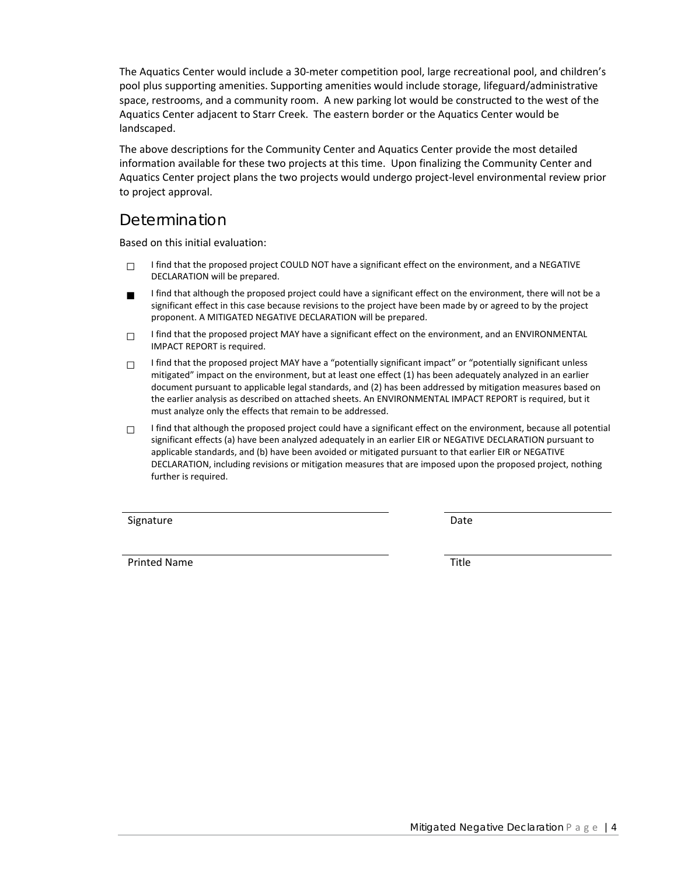The Aquatics Center would include a 30‐meter competition pool, large recreational pool, and children's pool plus supporting amenities. Supporting amenities would include storage, lifeguard/administrative space, restrooms, and a community room. A new parking lot would be constructed to the west of the Aquatics Center adjacent to Starr Creek. The eastern border or the Aquatics Center would be landscaped.

The above descriptions for the Community Center and Aquatics Center provide the most detailed information available for these two projects at this time. Upon finalizing the Community Center and Aquatics Center project plans the two projects would undergo project‐level environmental review prior to project approval.

## Determination

Based on this initial evaluation:

- $\Box$  I find that the proposed project COULD NOT have a significant effect on the environment, and a NEGATIVE DECLARATION will be prepared.
- I find that although the proposed project could have a significant effect on the environment, there will not be a significant effect in this case because revisions to the project have been made by or agreed to by the project proponent. A MITIGATED NEGATIVE DECLARATION will be prepared.
- □ I find that the proposed project MAY have a significant effect on the environment, and an ENVIRONMENTAL IMPACT REPORT is required.
- $\Box$  I find that the proposed project MAY have a "potentially significant impact" or "potentially significant unless mitigated" impact on the environment, but at least one effect (1) has been adequately analyzed in an earlier document pursuant to applicable legal standards, and (2) has been addressed by mitigation measures based on the earlier analysis as described on attached sheets. An ENVIRONMENTAL IMPACT REPORT is required, but it must analyze only the effects that remain to be addressed.
- $\Box$  I find that although the proposed project could have a significant effect on the environment, because all potential significant effects (a) have been analyzed adequately in an earlier EIR or NEGATIVE DECLARATION pursuant to applicable standards, and (b) have been avoided or mitigated pursuant to that earlier EIR or NEGATIVE DECLARATION, including revisions or mitigation measures that are imposed upon the proposed project, nothing further is required.

Signature Date

Printed Name Title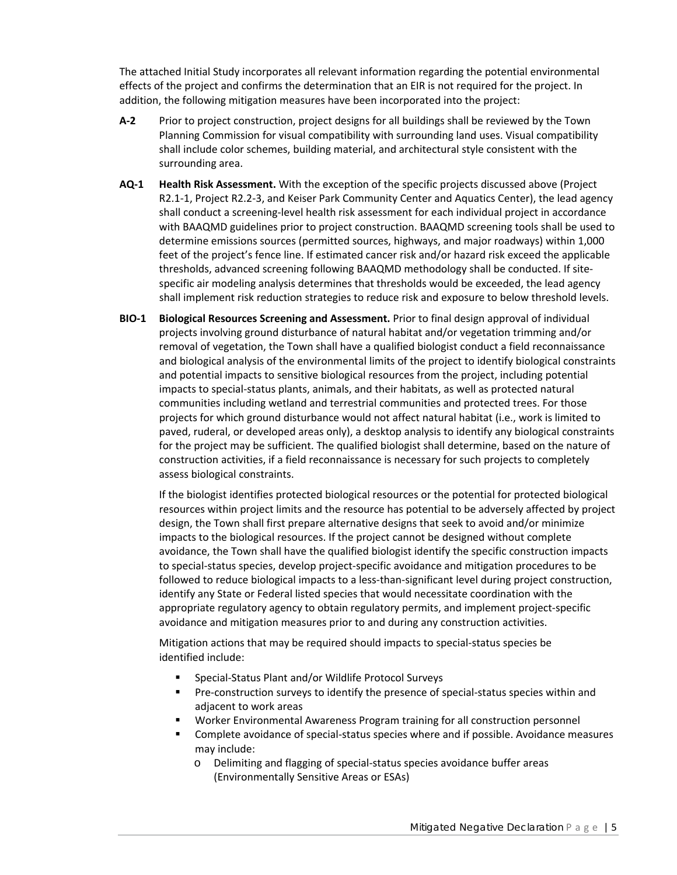The attached Initial Study incorporates all relevant information regarding the potential environmental effects of the project and confirms the determination that an EIR is not required for the project. In addition, the following mitigation measures have been incorporated into the project:

- **A‐2** Prior to project construction, project designs for all buildings shall be reviewed by the Town Planning Commission for visual compatibility with surrounding land uses. Visual compatibility shall include color schemes, building material, and architectural style consistent with the surrounding area.
- **AQ‐1 Health Risk Assessment.** With the exception of the specific projects discussed above (Project R2.1-1, Project R2.2-3, and Keiser Park Community Center and Aquatics Center), the lead agency shall conduct a screening‐level health risk assessment for each individual project in accordance with BAAQMD guidelines prior to project construction. BAAQMD screening tools shall be used to determine emissions sources (permitted sources, highways, and major roadways) within 1,000 feet of the project's fence line. If estimated cancer risk and/or hazard risk exceed the applicable thresholds, advanced screening following BAAQMD methodology shall be conducted. If site‐ specific air modeling analysis determines that thresholds would be exceeded, the lead agency shall implement risk reduction strategies to reduce risk and exposure to below threshold levels.
- **BIO‐1 Biological Resources Screening and Assessment.** Prior to final design approval of individual projects involving ground disturbance of natural habitat and/or vegetation trimming and/or removal of vegetation, the Town shall have a qualified biologist conduct a field reconnaissance and biological analysis of the environmental limits of the project to identify biological constraints and potential impacts to sensitive biological resources from the project, including potential impacts to special‐status plants, animals, and their habitats, as well as protected natural communities including wetland and terrestrial communities and protected trees. For those projects for which ground disturbance would not affect natural habitat (i.e., work is limited to paved, ruderal, or developed areas only), a desktop analysis to identify any biological constraints for the project may be sufficient. The qualified biologist shall determine, based on the nature of construction activities, if a field reconnaissance is necessary for such projects to completely assess biological constraints.

If the biologist identifies protected biological resources or the potential for protected biological resources within project limits and the resource has potential to be adversely affected by project design, the Town shall first prepare alternative designs that seek to avoid and/or minimize impacts to the biological resources. If the project cannot be designed without complete avoidance, the Town shall have the qualified biologist identify the specific construction impacts to special‐status species, develop project‐specific avoidance and mitigation procedures to be followed to reduce biological impacts to a less-than-significant level during project construction, identify any State or Federal listed species that would necessitate coordination with the appropriate regulatory agency to obtain regulatory permits, and implement project‐specific avoidance and mitigation measures prior to and during any construction activities.

Mitigation actions that may be required should impacts to special‐status species be identified include:

- Special-Status Plant and/or Wildlife Protocol Surveys
- Pre-construction surveys to identify the presence of special-status species within and adjacent to work areas
- Worker Environmental Awareness Program training for all construction personnel
- Complete avoidance of special‐status species where and if possible. Avoidance measures may include:
	- o Delimiting and flagging of special‐status species avoidance buffer areas (Environmentally Sensitive Areas or ESAs)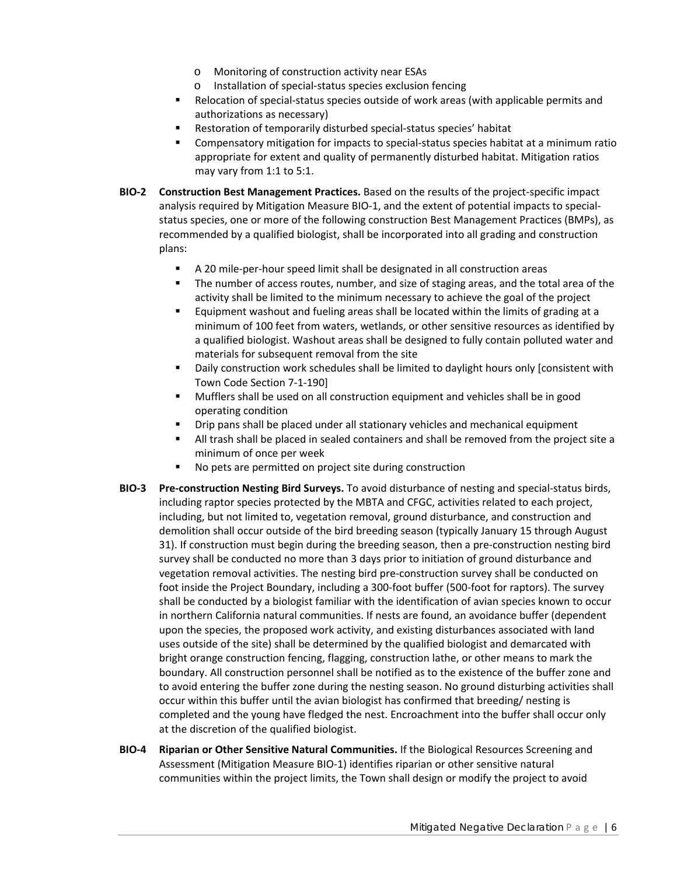- o Monitoring of construction activity near ESAs
- o Installation of special‐status species exclusion fencing
- Relocation of special-status species outside of work areas (with applicable permits and authorizations as necessary)
- Restoration of temporarily disturbed special‐status species' habitat
- Compensatory mitigation for impacts to special-status species habitat at a minimum ratio appropriate for extent and quality of permanently disturbed habitat. Mitigation ratios may vary from 1:1 to 5:1.
- **BIO‐2 Construction Best Management Practices.** Based on the results of the project‐specific impact analysis required by Mitigation Measure BIO-1, and the extent of potential impacts to specialstatus species, one or more of the following construction Best Management Practices (BMPs), as recommended by a qualified biologist, shall be incorporated into all grading and construction plans:
	- A 20 mile-per-hour speed limit shall be designated in all construction areas
	- **The number of access routes, number, and size of staging areas, and the total area of the** activity shall be limited to the minimum necessary to achieve the goal of the project
	- **Equipment washout and fueling areas shall be located within the limits of grading at a** minimum of 100 feet from waters, wetlands, or other sensitive resources as identified by a qualified biologist. Washout areas shall be designed to fully contain polluted water and materials for subsequent removal from the site
	- **•** Daily construction work schedules shall be limited to daylight hours only [consistent with Town Code Section 7‐1‐190]
	- Mufflers shall be used on all construction equipment and vehicles shall be in good operating condition
	- **P** Drip pans shall be placed under all stationary vehicles and mechanical equipment
	- All trash shall be placed in sealed containers and shall be removed from the project site a minimum of once per week
	- No pets are permitted on project site during construction
- **BIO‐3 Pre‐construction Nesting Bird Surveys.** To avoid disturbance of nesting and special‐status birds, including raptor species protected by the MBTA and CFGC, activities related to each project, including, but not limited to, vegetation removal, ground disturbance, and construction and demolition shall occur outside of the bird breeding season (typically January 15 through August 31). If construction must begin during the breeding season, then a pre‐construction nesting bird survey shall be conducted no more than 3 days prior to initiation of ground disturbance and vegetation removal activities. The nesting bird pre‐construction survey shall be conducted on foot inside the Project Boundary, including a 300‐foot buffer (500‐foot for raptors). The survey shall be conducted by a biologist familiar with the identification of avian species known to occur in northern California natural communities. If nests are found, an avoidance buffer (dependent upon the species, the proposed work activity, and existing disturbances associated with land uses outside of the site) shall be determined by the qualified biologist and demarcated with bright orange construction fencing, flagging, construction lathe, or other means to mark the boundary. All construction personnel shall be notified as to the existence of the buffer zone and to avoid entering the buffer zone during the nesting season. No ground disturbing activities shall occur within this buffer until the avian biologist has confirmed that breeding/ nesting is completed and the young have fledged the nest. Encroachment into the buffer shall occur only at the discretion of the qualified biologist.
- **BIO‐4 Riparian or Other Sensitive Natural Communities.** If the Biological Resources Screening and Assessment (Mitigation Measure BIO‐1) identifies riparian or other sensitive natural communities within the project limits, the Town shall design or modify the project to avoid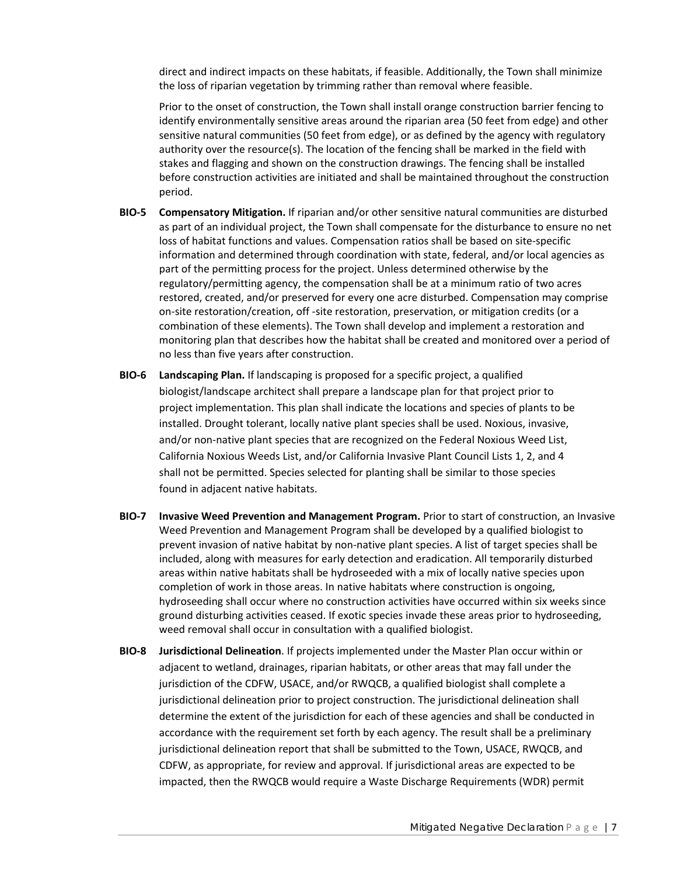direct and indirect impacts on these habitats, if feasible. Additionally, the Town shall minimize the loss of riparian vegetation by trimming rather than removal where feasible.

Prior to the onset of construction, the Town shall install orange construction barrier fencing to identify environmentally sensitive areas around the riparian area (50 feet from edge) and other sensitive natural communities (50 feet from edge), or as defined by the agency with regulatory authority over the resource(s). The location of the fencing shall be marked in the field with stakes and flagging and shown on the construction drawings. The fencing shall be installed before construction activities are initiated and shall be maintained throughout the construction period.

- **BIO‐5 Compensatory Mitigation.** If riparian and/or other sensitive natural communities are disturbed as part of an individual project, the Town shall compensate for the disturbance to ensure no net loss of habitat functions and values. Compensation ratios shall be based on site‐specific information and determined through coordination with state, federal, and/or local agencies as part of the permitting process for the project. Unless determined otherwise by the regulatory/permitting agency, the compensation shall be at a minimum ratio of two acres restored, created, and/or preserved for every one acre disturbed. Compensation may comprise on‐site restoration/creation, off ‐site restoration, preservation, or mitigation credits (or a combination of these elements). The Town shall develop and implement a restoration and monitoring plan that describes how the habitat shall be created and monitored over a period of no less than five years after construction.
- **BIO‐6 Landscaping Plan.** If landscaping is proposed for a specific project, a qualified biologist/landscape architect shall prepare a landscape plan for that project prior to project implementation. This plan shall indicate the locations and species of plants to be installed. Drought tolerant, locally native plant species shall be used. Noxious, invasive, and/or non-native plant species that are recognized on the Federal Noxious Weed List, California Noxious Weeds List, and/or California Invasive Plant Council Lists 1, 2, and 4 shall not be permitted. Species selected for planting shall be similar to those species found in adjacent native habitats.
- **BIO‐7 Invasive Weed Prevention and Management Program.** Prior to start of construction, an Invasive Weed Prevention and Management Program shall be developed by a qualified biologist to prevent invasion of native habitat by non‐native plant species. A list of target species shall be included, along with measures for early detection and eradication. All temporarily disturbed areas within native habitats shall be hydroseeded with a mix of locally native species upon completion of work in those areas. In native habitats where construction is ongoing, hydroseeding shall occur where no construction activities have occurred within six weeks since ground disturbing activities ceased. If exotic species invade these areas prior to hydroseeding, weed removal shall occur in consultation with a qualified biologist.
- **BIO‐8 Jurisdictional Delineation**. If projects implemented under the Master Plan occur within or adjacent to wetland, drainages, riparian habitats, or other areas that may fall under the jurisdiction of the CDFW, USACE, and/or RWQCB, a qualified biologist shall complete a jurisdictional delineation prior to project construction. The jurisdictional delineation shall determine the extent of the jurisdiction for each of these agencies and shall be conducted in accordance with the requirement set forth by each agency. The result shall be a preliminary jurisdictional delineation report that shall be submitted to the Town, USACE, RWQCB, and CDFW, as appropriate, for review and approval. If jurisdictional areas are expected to be impacted, then the RWQCB would require a Waste Discharge Requirements (WDR) permit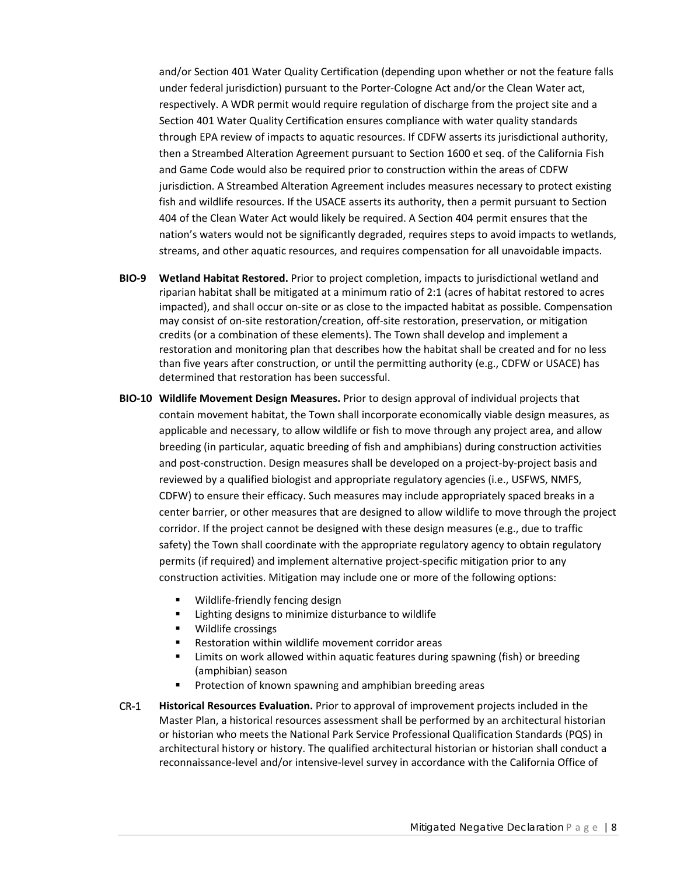and/or Section 401 Water Quality Certification (depending upon whether or not the feature falls under federal jurisdiction) pursuant to the Porter‐Cologne Act and/or the Clean Water act, respectively. A WDR permit would require regulation of discharge from the project site and a Section 401 Water Quality Certification ensures compliance with water quality standards through EPA review of impacts to aquatic resources. If CDFW asserts its jurisdictional authority, then a Streambed Alteration Agreement pursuant to Section 1600 et seq. of the California Fish and Game Code would also be required prior to construction within the areas of CDFW jurisdiction. A Streambed Alteration Agreement includes measures necessary to protect existing fish and wildlife resources. If the USACE asserts its authority, then a permit pursuant to Section 404 of the Clean Water Act would likely be required. A Section 404 permit ensures that the nation's waters would not be significantly degraded, requires steps to avoid impacts to wetlands, streams, and other aquatic resources, and requires compensation for all unavoidable impacts.

- **BIO‐9 Wetland Habitat Restored.** Prior to project completion, impacts to jurisdictional wetland and riparian habitat shall be mitigated at a minimum ratio of 2:1 (acres of habitat restored to acres impacted), and shall occur on‐site or as close to the impacted habitat as possible. Compensation may consist of on-site restoration/creation, off-site restoration, preservation, or mitigation credits (or a combination of these elements). The Town shall develop and implement a restoration and monitoring plan that describes how the habitat shall be created and for no less than five years after construction, or until the permitting authority (e.g., CDFW or USACE) has determined that restoration has been successful.
- **BIO‐10 Wildlife Movement Design Measures.** Prior to design approval of individual projects that contain movement habitat, the Town shall incorporate economically viable design measures, as applicable and necessary, to allow wildlife or fish to move through any project area, and allow breeding (in particular, aquatic breeding of fish and amphibians) during construction activities and post‐construction. Design measures shall be developed on a project‐by‐project basis and reviewed by a qualified biologist and appropriate regulatory agencies (i.e., USFWS, NMFS, CDFW) to ensure their efficacy. Such measures may include appropriately spaced breaks in a center barrier, or other measures that are designed to allow wildlife to move through the project corridor. If the project cannot be designed with these design measures (e.g., due to traffic safety) the Town shall coordinate with the appropriate regulatory agency to obtain regulatory permits (if required) and implement alternative project-specific mitigation prior to any construction activities. Mitigation may include one or more of the following options:
	- Wildlife‐friendly fencing design
	- **EXECUTE:** Lighting designs to minimize disturbance to wildlife
	- **•** Wildlife crossings
	- Restoration within wildlife movement corridor areas
	- **EXED 10** Limits on work allowed within aquatic features during spawning (fish) or breeding (amphibian) season
	- **Protection of known spawning and amphibian breeding areas**
- CR‐1 **Historical Resources Evaluation.** Prior to approval of improvement projects included in the Master Plan, a historical resources assessment shall be performed by an architectural historian or historian who meets the National Park Service Professional Qualification Standards (PQS) in architectural history or history. The qualified architectural historian or historian shall conduct a reconnaissance‐level and/or intensive‐level survey in accordance with the California Office of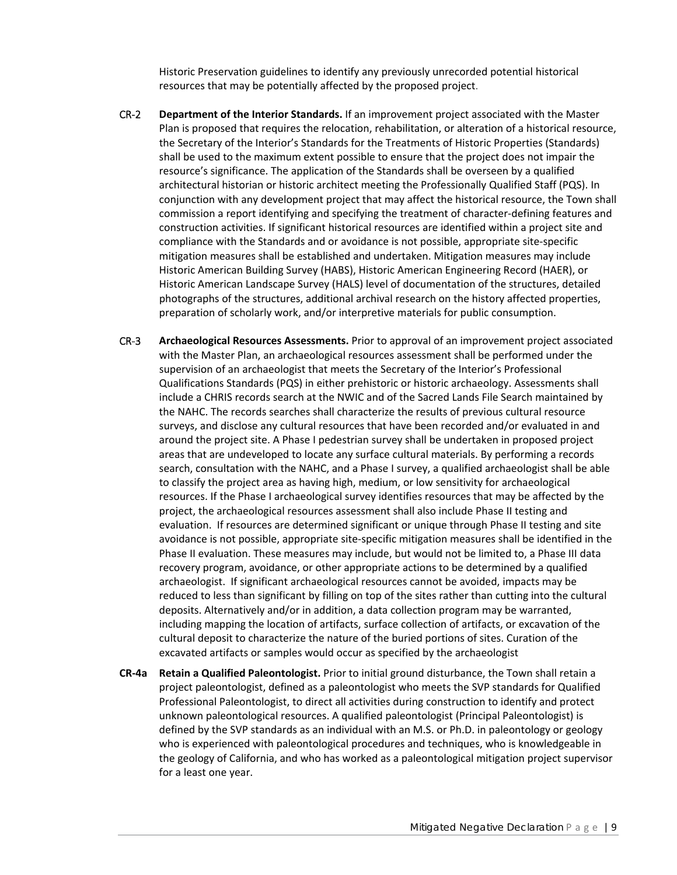Historic Preservation guidelines to identify any previously unrecorded potential historical resources that may be potentially affected by the proposed project.

- CR‐2 **Department of the Interior Standards.** If an improvement project associated with the Master Plan is proposed that requires the relocation, rehabilitation, or alteration of a historical resource, the Secretary of the Interior's Standards for the Treatments of Historic Properties (Standards) shall be used to the maximum extent possible to ensure that the project does not impair the resource's significance. The application of the Standards shall be overseen by a qualified architectural historian or historic architect meeting the Professionally Qualified Staff (PQS). In conjunction with any development project that may affect the historical resource, the Town shall commission a report identifying and specifying the treatment of character‐defining features and construction activities. If significant historical resources are identified within a project site and compliance with the Standards and or avoidance is not possible, appropriate site‐specific mitigation measures shall be established and undertaken. Mitigation measures may include Historic American Building Survey (HABS), Historic American Engineering Record (HAER), or Historic American Landscape Survey (HALS) level of documentation of the structures, detailed photographs of the structures, additional archival research on the history affected properties, preparation of scholarly work, and/or interpretive materials for public consumption.
- CR‐3 **Archaeological Resources Assessments.** Prior to approval of an improvement project associated with the Master Plan, an archaeological resources assessment shall be performed under the supervision of an archaeologist that meets the Secretary of the Interior's Professional Qualifications Standards (PQS) in either prehistoric or historic archaeology. Assessments shall include a CHRIS records search at the NWIC and of the Sacred Lands File Search maintained by the NAHC. The records searches shall characterize the results of previous cultural resource surveys, and disclose any cultural resources that have been recorded and/or evaluated in and around the project site. A Phase I pedestrian survey shall be undertaken in proposed project areas that are undeveloped to locate any surface cultural materials. By performing a records search, consultation with the NAHC, and a Phase I survey, a qualified archaeologist shall be able to classify the project area as having high, medium, or low sensitivity for archaeological resources. If the Phase I archaeological survey identifies resources that may be affected by the project, the archaeological resources assessment shall also include Phase II testing and evaluation. If resources are determined significant or unique through Phase II testing and site avoidance is not possible, appropriate site‐specific mitigation measures shall be identified in the Phase II evaluation. These measures may include, but would not be limited to, a Phase III data recovery program, avoidance, or other appropriate actions to be determined by a qualified archaeologist. If significant archaeological resources cannot be avoided, impacts may be reduced to less than significant by filling on top of the sites rather than cutting into the cultural deposits. Alternatively and/or in addition, a data collection program may be warranted, including mapping the location of artifacts, surface collection of artifacts, or excavation of the cultural deposit to characterize the nature of the buried portions of sites. Curation of the excavated artifacts or samples would occur as specified by the archaeologist
- **CR‐4a Retain a Qualified Paleontologist.** Prior to initial ground disturbance, the Town shall retain a project paleontologist, defined as a paleontologist who meets the SVP standards for Qualified Professional Paleontologist, to direct all activities during construction to identify and protect unknown paleontological resources. A qualified paleontologist (Principal Paleontologist) is defined by the SVP standards as an individual with an M.S. or Ph.D. in paleontology or geology who is experienced with paleontological procedures and techniques, who is knowledgeable in the geology of California, and who has worked as a paleontological mitigation project supervisor for a least one year.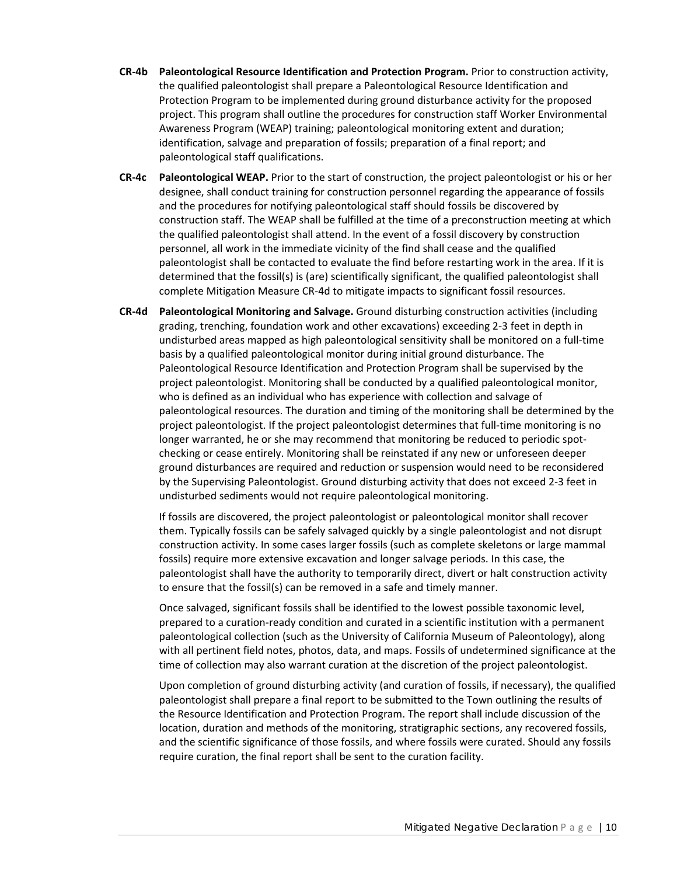- **CR‐4b Paleontological Resource Identification and Protection Program.** Prior to construction activity, the qualified paleontologist shall prepare a Paleontological Resource Identification and Protection Program to be implemented during ground disturbance activity for the proposed project. This program shall outline the procedures for construction staff Worker Environmental Awareness Program (WEAP) training; paleontological monitoring extent and duration; identification, salvage and preparation of fossils; preparation of a final report; and paleontological staff qualifications.
- **CR‐4c Paleontological WEAP.** Prior to the start of construction, the project paleontologist or his or her designee, shall conduct training for construction personnel regarding the appearance of fossils and the procedures for notifying paleontological staff should fossils be discovered by construction staff. The WEAP shall be fulfilled at the time of a preconstruction meeting at which the qualified paleontologist shall attend. In the event of a fossil discovery by construction personnel, all work in the immediate vicinity of the find shall cease and the qualified paleontologist shall be contacted to evaluate the find before restarting work in the area. If it is determined that the fossil(s) is (are) scientifically significant, the qualified paleontologist shall complete Mitigation Measure CR‐4d to mitigate impacts to significant fossil resources.
- **CR‐4d Paleontological Monitoring and Salvage.** Ground disturbing construction activities (including grading, trenching, foundation work and other excavations) exceeding 2‐3 feet in depth in undisturbed areas mapped as high paleontological sensitivity shall be monitored on a full‐time basis by a qualified paleontological monitor during initial ground disturbance. The Paleontological Resource Identification and Protection Program shall be supervised by the project paleontologist. Monitoring shall be conducted by a qualified paleontological monitor, who is defined as an individual who has experience with collection and salvage of paleontological resources. The duration and timing of the monitoring shall be determined by the project paleontologist. If the project paleontologist determines that full‐time monitoring is no longer warranted, he or she may recommend that monitoring be reduced to periodic spotchecking or cease entirely. Monitoring shall be reinstated if any new or unforeseen deeper ground disturbances are required and reduction or suspension would need to be reconsidered by the Supervising Paleontologist. Ground disturbing activity that does not exceed 2‐3 feet in undisturbed sediments would not require paleontological monitoring.

If fossils are discovered, the project paleontologist or paleontological monitor shall recover them. Typically fossils can be safely salvaged quickly by a single paleontologist and not disrupt construction activity. In some cases larger fossils (such as complete skeletons or large mammal fossils) require more extensive excavation and longer salvage periods. In this case, the paleontologist shall have the authority to temporarily direct, divert or halt construction activity to ensure that the fossil(s) can be removed in a safe and timely manner.

Once salvaged, significant fossils shall be identified to the lowest possible taxonomic level, prepared to a curation‐ready condition and curated in a scientific institution with a permanent paleontological collection (such as the University of California Museum of Paleontology), along with all pertinent field notes, photos, data, and maps. Fossils of undetermined significance at the time of collection may also warrant curation at the discretion of the project paleontologist.

Upon completion of ground disturbing activity (and curation of fossils, if necessary), the qualified paleontologist shall prepare a final report to be submitted to the Town outlining the results of the Resource Identification and Protection Program. The report shall include discussion of the location, duration and methods of the monitoring, stratigraphic sections, any recovered fossils, and the scientific significance of those fossils, and where fossils were curated. Should any fossils require curation, the final report shall be sent to the curation facility.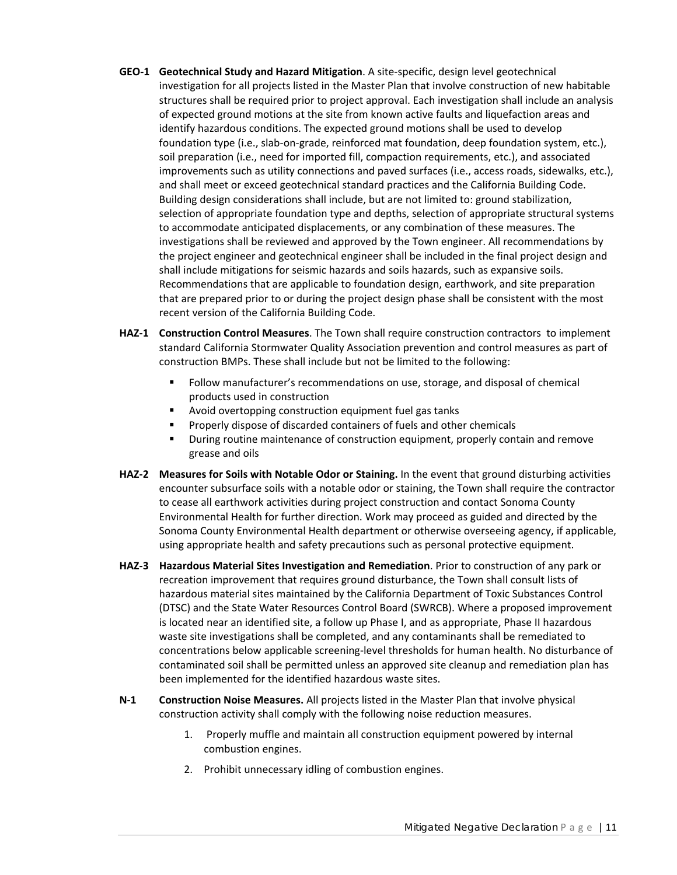- **GEO‐1 Geotechnical Study and Hazard Mitigation**. A site‐specific, design level geotechnical investigation for all projects listed in the Master Plan that involve construction of new habitable structures shall be required prior to project approval. Each investigation shall include an analysis of expected ground motions at the site from known active faults and liquefaction areas and identify hazardous conditions. The expected ground motions shall be used to develop foundation type (i.e., slab‐on‐grade, reinforced mat foundation, deep foundation system, etc.), soil preparation (i.e., need for imported fill, compaction requirements, etc.), and associated improvements such as utility connections and paved surfaces (i.e., access roads, sidewalks, etc.), and shall meet or exceed geotechnical standard practices and the California Building Code. Building design considerations shall include, but are not limited to: ground stabilization, selection of appropriate foundation type and depths, selection of appropriate structural systems to accommodate anticipated displacements, or any combination of these measures. The investigations shall be reviewed and approved by the Town engineer. All recommendations by the project engineer and geotechnical engineer shall be included in the final project design and shall include mitigations for seismic hazards and soils hazards, such as expansive soils. Recommendations that are applicable to foundation design, earthwork, and site preparation that are prepared prior to or during the project design phase shall be consistent with the most recent version of the California Building Code.
- **HAZ‐1 Construction Control Measures**. The Town shall require construction contractors to implement standard California Stormwater Quality Association prevention and control measures as part of construction BMPs. These shall include but not be limited to the following:
	- Follow manufacturer's recommendations on use, storage, and disposal of chemical products used in construction
	- **EXTERN** Avoid overtopping construction equipment fuel gas tanks
	- **Properly dispose of discarded containers of fuels and other chemicals**
	- **During routine maintenance of construction equipment, properly contain and remove** grease and oils
- **HAZ‐2 Measures for Soils with Notable Odor or Staining.** In the event that ground disturbing activities encounter subsurface soils with a notable odor or staining, the Town shall require the contractor to cease all earthwork activities during project construction and contact Sonoma County Environmental Health for further direction. Work may proceed as guided and directed by the Sonoma County Environmental Health department or otherwise overseeing agency, if applicable, using appropriate health and safety precautions such as personal protective equipment.
- **HAZ‐3 Hazardous Material Sites Investigation and Remediation**. Prior to construction of any park or recreation improvement that requires ground disturbance, the Town shall consult lists of hazardous material sites maintained by the California Department of Toxic Substances Control (DTSC) and the State Water Resources Control Board (SWRCB). Where a proposed improvement is located near an identified site, a follow up Phase I, and as appropriate, Phase II hazardous waste site investigations shall be completed, and any contaminants shall be remediated to concentrations below applicable screening‐level thresholds for human health. No disturbance of contaminated soil shall be permitted unless an approved site cleanup and remediation plan has been implemented for the identified hazardous waste sites.
- **N‐1 Construction Noise Measures.** All projects listed in the Master Plan that involve physical construction activity shall comply with the following noise reduction measures.
	- 1. Properly muffle and maintain all construction equipment powered by internal combustion engines.
	- 2. Prohibit unnecessary idling of combustion engines.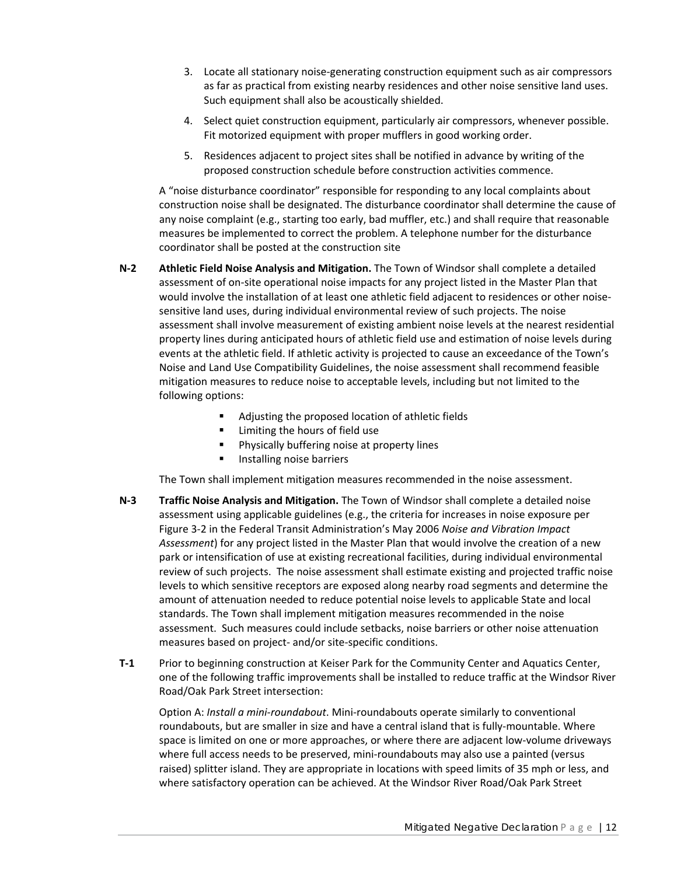- 3. Locate all stationary noise‐generating construction equipment such as air compressors as far as practical from existing nearby residences and other noise sensitive land uses. Such equipment shall also be acoustically shielded.
- 4. Select quiet construction equipment, particularly air compressors, whenever possible. Fit motorized equipment with proper mufflers in good working order.
- 5. Residences adjacent to project sites shall be notified in advance by writing of the proposed construction schedule before construction activities commence.

A "noise disturbance coordinator" responsible for responding to any local complaints about construction noise shall be designated. The disturbance coordinator shall determine the cause of any noise complaint (e.g., starting too early, bad muffler, etc.) and shall require that reasonable measures be implemented to correct the problem. A telephone number for the disturbance coordinator shall be posted at the construction site

- **N‐2 Athletic Field Noise Analysis and Mitigation.** The Town of Windsor shall complete a detailed assessment of on‐site operational noise impacts for any project listed in the Master Plan that would involve the installation of at least one athletic field adjacent to residences or other noisesensitive land uses, during individual environmental review of such projects. The noise assessment shall involve measurement of existing ambient noise levels at the nearest residential property lines during anticipated hours of athletic field use and estimation of noise levels during events at the athletic field. If athletic activity is projected to cause an exceedance of the Town's Noise and Land Use Compatibility Guidelines, the noise assessment shall recommend feasible mitigation measures to reduce noise to acceptable levels, including but not limited to the following options:
	- Adjusting the proposed location of athletic fields
	- **EXECUTE:** Limiting the hours of field use
	- **Physically buffering noise at property lines**
	- **Installing noise barriers**

The Town shall implement mitigation measures recommended in the noise assessment.

- **N‐3 Traffic Noise Analysis and Mitigation.** The Town of Windsor shall complete a detailed noise assessment using applicable guidelines (e.g., the criteria for increases in noise exposure per Figure 3‐2 in the Federal Transit Administration's May 2006 *Noise and Vibration Impact Assessment*) for any project listed in the Master Plan that would involve the creation of a new park or intensification of use at existing recreational facilities, during individual environmental review of such projects. The noise assessment shall estimate existing and projected traffic noise levels to which sensitive receptors are exposed along nearby road segments and determine the amount of attenuation needed to reduce potential noise levels to applicable State and local standards. The Town shall implement mitigation measures recommended in the noise assessment. Such measures could include setbacks, noise barriers or other noise attenuation measures based on project‐ and/or site‐specific conditions.
- **T-1** Prior to beginning construction at Keiser Park for the Community Center and Aquatics Center, one of the following traffic improvements shall be installed to reduce traffic at the Windsor River Road/Oak Park Street intersection:

Option A: *Install a mini‐roundabout*. Mini‐roundabouts operate similarly to conventional roundabouts, but are smaller in size and have a central island that is fully‐mountable. Where space is limited on one or more approaches, or where there are adjacent low‐volume driveways where full access needs to be preserved, mini-roundabouts may also use a painted (versus raised) splitter island. They are appropriate in locations with speed limits of 35 mph or less, and where satisfactory operation can be achieved. At the Windsor River Road/Oak Park Street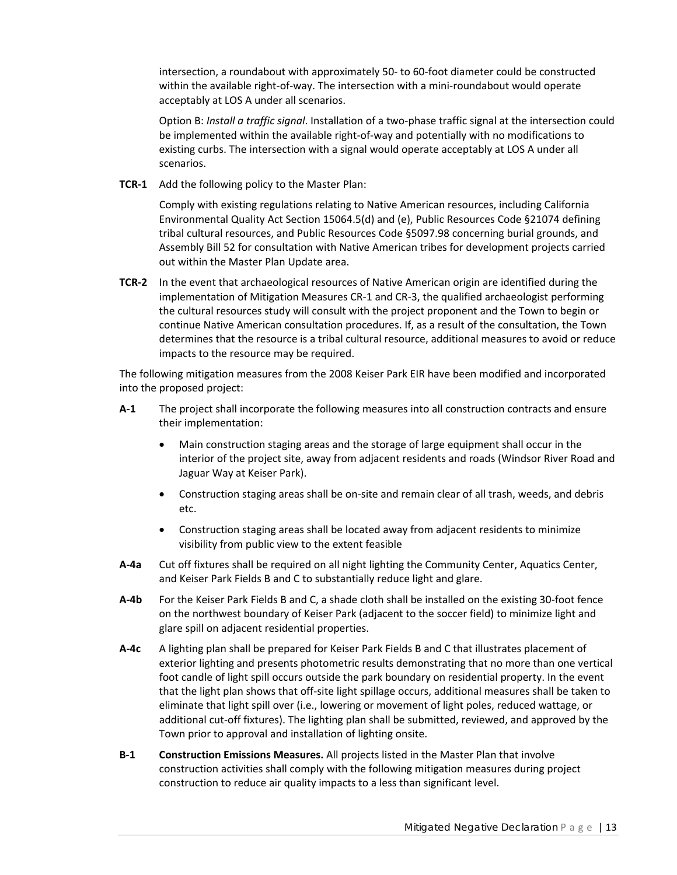intersection, a roundabout with approximately 50‐ to 60‐foot diameter could be constructed within the available right-of-way. The intersection with a mini-roundabout would operate acceptably at LOS A under all scenarios.

Option B: *Install a traffic signal*. Installation of a two‐phase traffic signal at the intersection could be implemented within the available right‐of‐way and potentially with no modifications to existing curbs. The intersection with a signal would operate acceptably at LOS A under all scenarios.

**TCR‐1** Add the following policy to the Master Plan:

Comply with existing regulations relating to Native American resources, including California Environmental Quality Act Section 15064.5(d) and (e), Public Resources Code §21074 defining tribal cultural resources, and Public Resources Code §5097.98 concerning burial grounds, and Assembly Bill 52 for consultation with Native American tribes for development projects carried out within the Master Plan Update area.

**TCR‐2** In the event that archaeological resources of Native American origin are identified during the implementation of Mitigation Measures CR‐1 and CR‐3, the qualified archaeologist performing the cultural resources study will consult with the project proponent and the Town to begin or continue Native American consultation procedures. If, as a result of the consultation, the Town determines that the resource is a tribal cultural resource, additional measures to avoid or reduce impacts to the resource may be required.

The following mitigation measures from the 2008 Keiser Park EIR have been modified and incorporated into the proposed project:

- **A‐1** The project shall incorporate the following measures into all construction contracts and ensure their implementation:
	- Main construction staging areas and the storage of large equipment shall occur in the interior of the project site, away from adjacent residents and roads (Windsor River Road and Jaguar Way at Keiser Park).
	- Construction staging areas shall be on-site and remain clear of all trash, weeds, and debris etc.
	- Construction staging areas shall be located away from adjacent residents to minimize visibility from public view to the extent feasible
- **A‐4a** Cut off fixtures shall be required on all night lighting the Community Center, Aquatics Center, and Keiser Park Fields B and C to substantially reduce light and glare.
- **A‐4b** For the Keiser Park Fields B and C, a shade cloth shall be installed on the existing 30‐foot fence on the northwest boundary of Keiser Park (adjacent to the soccer field) to minimize light and glare spill on adjacent residential properties.
- **A‐4c** A lighting plan shall be prepared for Keiser Park Fields B and C that illustrates placement of exterior lighting and presents photometric results demonstrating that no more than one vertical foot candle of light spill occurs outside the park boundary on residential property. In the event that the light plan shows that off‐site light spillage occurs, additional measures shall be taken to eliminate that light spill over (i.e., lowering or movement of light poles, reduced wattage, or additional cut‐off fixtures). The lighting plan shall be submitted, reviewed, and approved by the Town prior to approval and installation of lighting onsite.
- **B‐1 Construction Emissions Measures.** All projects listed in the Master Plan that involve construction activities shall comply with the following mitigation measures during project construction to reduce air quality impacts to a less than significant level.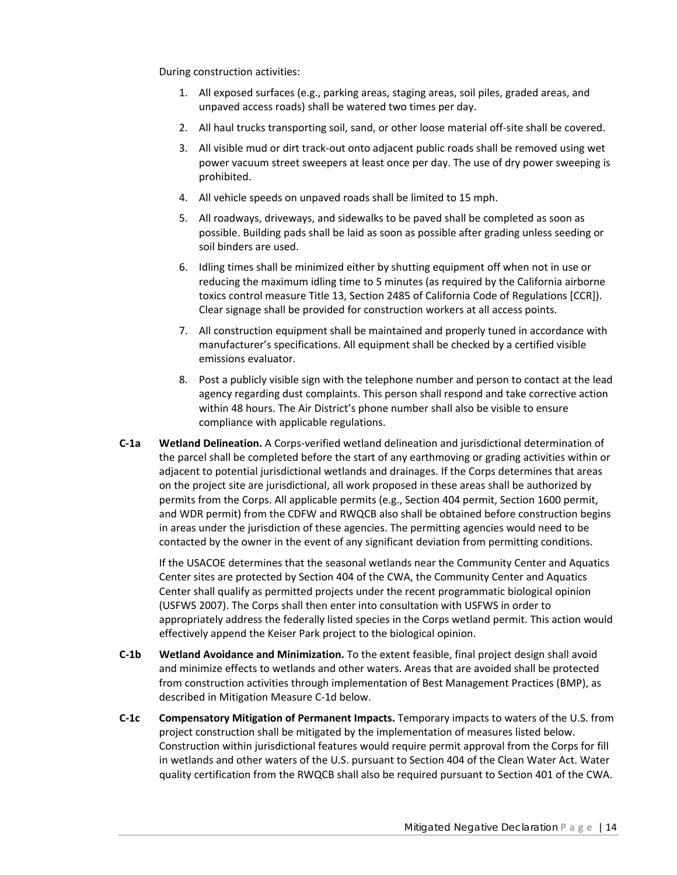During construction activities:

- 1. All exposed surfaces (e.g., parking areas, staging areas, soil piles, graded areas, and unpaved access roads) shall be watered two times per day.
- 2. All haul trucks transporting soil, sand, or other loose material off‐site shall be covered.
- 3. All visible mud or dirt track‐out onto adjacent public roads shall be removed using wet power vacuum street sweepers at least once per day. The use of dry power sweeping is prohibited.
- 4. All vehicle speeds on unpaved roads shall be limited to 15 mph.
- 5. All roadways, driveways, and sidewalks to be paved shall be completed as soon as possible. Building pads shall be laid as soon as possible after grading unless seeding or soil binders are used.
- 6. Idling times shall be minimized either by shutting equipment off when not in use or reducing the maximum idling time to 5 minutes (as required by the California airborne toxics control measure Title 13, Section 2485 of California Code of Regulations [CCR]). Clear signage shall be provided for construction workers at all access points.
- 7. All construction equipment shall be maintained and properly tuned in accordance with manufacturer's specifications. All equipment shall be checked by a certified visible emissions evaluator.
- 8. Post a publicly visible sign with the telephone number and person to contact at the lead agency regarding dust complaints. This person shall respond and take corrective action within 48 hours. The Air District's phone number shall also be visible to ensure compliance with applicable regulations.
- **C‐1a Wetland Delineation.** A Corps‐verified wetland delineation and jurisdictional determination of the parcel shall be completed before the start of any earthmoving or grading activities within or adjacent to potential jurisdictional wetlands and drainages. If the Corps determines that areas on the project site are jurisdictional, all work proposed in these areas shall be authorized by permits from the Corps. All applicable permits (e.g., Section 404 permit, Section 1600 permit, and WDR permit) from the CDFW and RWQCB also shall be obtained before construction begins in areas under the jurisdiction of these agencies. The permitting agencies would need to be contacted by the owner in the event of any significant deviation from permitting conditions.

If the USACOE determines that the seasonal wetlands near the Community Center and Aquatics Center sites are protected by Section 404 of the CWA, the Community Center and Aquatics Center shall qualify as permitted projects under the recent programmatic biological opinion (USFWS 2007). The Corps shall then enter into consultation with USFWS in order to appropriately address the federally listed species in the Corps wetland permit. This action would effectively append the Keiser Park project to the biological opinion.

- **C‐1b Wetland Avoidance and Minimization.** To the extent feasible, final project design shall avoid and minimize effects to wetlands and other waters. Areas that are avoided shall be protected from construction activities through implementation of Best Management Practices (BMP), as described in Mitigation Measure C‐1d below.
- **C‐1c Compensatory Mitigation of Permanent Impacts.** Temporary impacts to waters of the U.S. from project construction shall be mitigated by the implementation of measures listed below. Construction within jurisdictional features would require permit approval from the Corps for fill in wetlands and other waters of the U.S. pursuant to Section 404 of the Clean Water Act. Water quality certification from the RWQCB shall also be required pursuant to Section 401 of the CWA.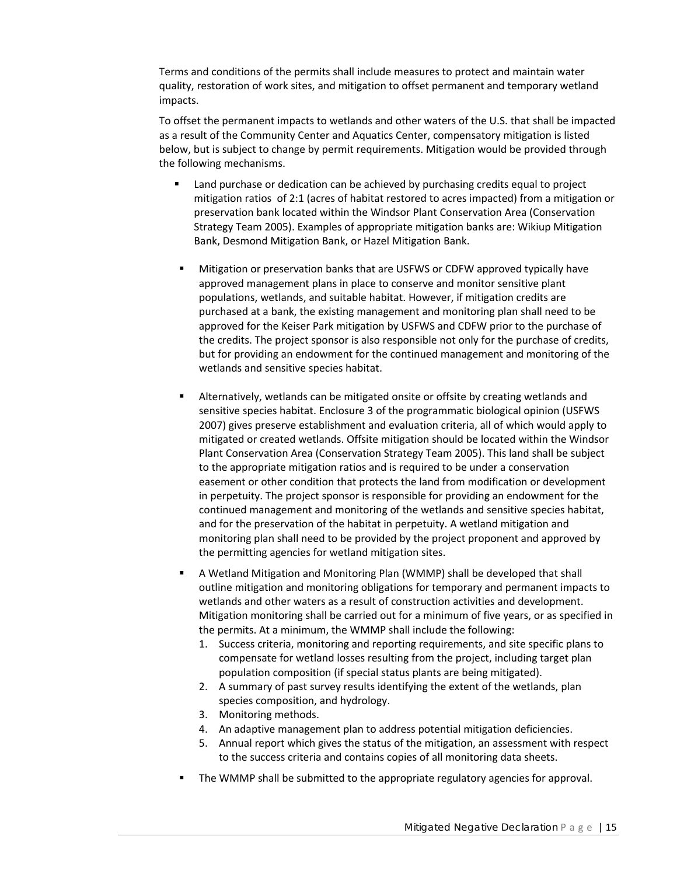Terms and conditions of the permits shall include measures to protect and maintain water quality, restoration of work sites, and mitigation to offset permanent and temporary wetland impacts.

To offset the permanent impacts to wetlands and other waters of the U.S. that shall be impacted as a result of the Community Center and Aquatics Center, compensatory mitigation is listed below, but is subject to change by permit requirements. Mitigation would be provided through the following mechanisms.

- Land purchase or dedication can be achieved by purchasing credits equal to project mitigation ratios of 2:1 (acres of habitat restored to acres impacted) from a mitigation or preservation bank located within the Windsor Plant Conservation Area (Conservation Strategy Team 2005). Examples of appropriate mitigation banks are: Wikiup Mitigation Bank, Desmond Mitigation Bank, or Hazel Mitigation Bank.
- Mitigation or preservation banks that are USFWS or CDFW approved typically have approved management plans in place to conserve and monitor sensitive plant populations, wetlands, and suitable habitat. However, if mitigation credits are purchased at a bank, the existing management and monitoring plan shall need to be approved for the Keiser Park mitigation by USFWS and CDFW prior to the purchase of the credits. The project sponsor is also responsible not only for the purchase of credits, but for providing an endowment for the continued management and monitoring of the wetlands and sensitive species habitat.
- Alternatively, wetlands can be mitigated onsite or offsite by creating wetlands and sensitive species habitat. Enclosure 3 of the programmatic biological opinion (USFWS 2007) gives preserve establishment and evaluation criteria, all of which would apply to mitigated or created wetlands. Offsite mitigation should be located within the Windsor Plant Conservation Area (Conservation Strategy Team 2005). This land shall be subject to the appropriate mitigation ratios and is required to be under a conservation easement or other condition that protects the land from modification or development in perpetuity. The project sponsor is responsible for providing an endowment for the continued management and monitoring of the wetlands and sensitive species habitat, and for the preservation of the habitat in perpetuity. A wetland mitigation and monitoring plan shall need to be provided by the project proponent and approved by the permitting agencies for wetland mitigation sites.
- A Wetland Mitigation and Monitoring Plan (WMMP) shall be developed that shall outline mitigation and monitoring obligations for temporary and permanent impacts to wetlands and other waters as a result of construction activities and development. Mitigation monitoring shall be carried out for a minimum of five years, or as specified in the permits. At a minimum, the WMMP shall include the following:
	- 1. Success criteria, monitoring and reporting requirements, and site specific plans to compensate for wetland losses resulting from the project, including target plan population composition (if special status plants are being mitigated).
	- 2. A summary of past survey results identifying the extent of the wetlands, plan species composition, and hydrology.
	- 3. Monitoring methods.
	- 4. An adaptive management plan to address potential mitigation deficiencies.
	- 5. Annual report which gives the status of the mitigation, an assessment with respect to the success criteria and contains copies of all monitoring data sheets.
- The WMMP shall be submitted to the appropriate regulatory agencies for approval.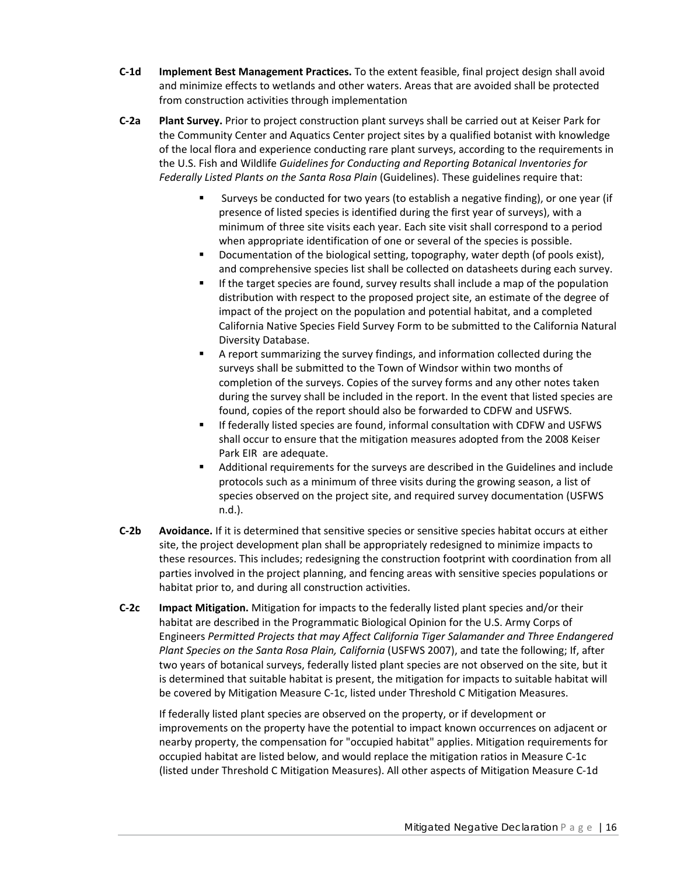- **C‐1d Implement Best Management Practices.** To the extent feasible, final project design shall avoid and minimize effects to wetlands and other waters. Areas that are avoided shall be protected from construction activities through implementation
- **C‐2a Plant Survey.** Prior to project construction plant surveys shall be carried out at Keiser Park for the Community Center and Aquatics Center project sites by a qualified botanist with knowledge of the local flora and experience conducting rare plant surveys, according to the requirements in the U.S. Fish and Wildlife *Guidelines for Conducting and Reporting Botanical Inventories for Federally Listed Plants on the Santa Rosa Plain* (Guidelines). These guidelines require that:
	- Surveys be conducted for two years (to establish a negative finding), or one year (if presence of listed species is identified during the first year of surveys), with a minimum of three site visits each year. Each site visit shall correspond to a period when appropriate identification of one or several of the species is possible.
	- Documentation of the biological setting, topography, water depth (of pools exist), and comprehensive species list shall be collected on datasheets during each survey.
	- If the target species are found, survey results shall include a map of the population distribution with respect to the proposed project site, an estimate of the degree of impact of the project on the population and potential habitat, and a completed California Native Species Field Survey Form to be submitted to the California Natural Diversity Database.
	- A report summarizing the survey findings, and information collected during the surveys shall be submitted to the Town of Windsor within two months of completion of the surveys. Copies of the survey forms and any other notes taken during the survey shall be included in the report. In the event that listed species are found, copies of the report should also be forwarded to CDFW and USFWS.
	- If federally listed species are found, informal consultation with CDFW and USFWS shall occur to ensure that the mitigation measures adopted from the 2008 Keiser Park EIR are adequate.
	- Additional requirements for the surveys are described in the Guidelines and include protocols such as a minimum of three visits during the growing season, a list of species observed on the project site, and required survey documentation (USFWS n.d.).
- **C‐2b Avoidance.** If it is determined that sensitive species or sensitive species habitat occurs at either site, the project development plan shall be appropriately redesigned to minimize impacts to these resources. This includes; redesigning the construction footprint with coordination from all parties involved in the project planning, and fencing areas with sensitive species populations or habitat prior to, and during all construction activities.
- **C‐2c Impact Mitigation.** Mitigation for impacts to the federally listed plant species and/or their habitat are described in the Programmatic Biological Opinion for the U.S. Army Corps of Engineers *Permitted Projects that may Affect California Tiger Salamander and Three Endangered Plant Species on the Santa Rosa Plain, California* (USFWS 2007), and tate the following; If, after two years of botanical surveys, federally listed plant species are not observed on the site, but it is determined that suitable habitat is present, the mitigation for impacts to suitable habitat will be covered by Mitigation Measure C‐1c, listed under Threshold C Mitigation Measures.

If federally listed plant species are observed on the property, or if development or improvements on the property have the potential to impact known occurrences on adjacent or nearby property, the compensation for "occupied habitat" applies. Mitigation requirements for occupied habitat are listed below, and would replace the mitigation ratios in Measure C‐1c (listed under Threshold C Mitigation Measures). All other aspects of Mitigation Measure C‐1d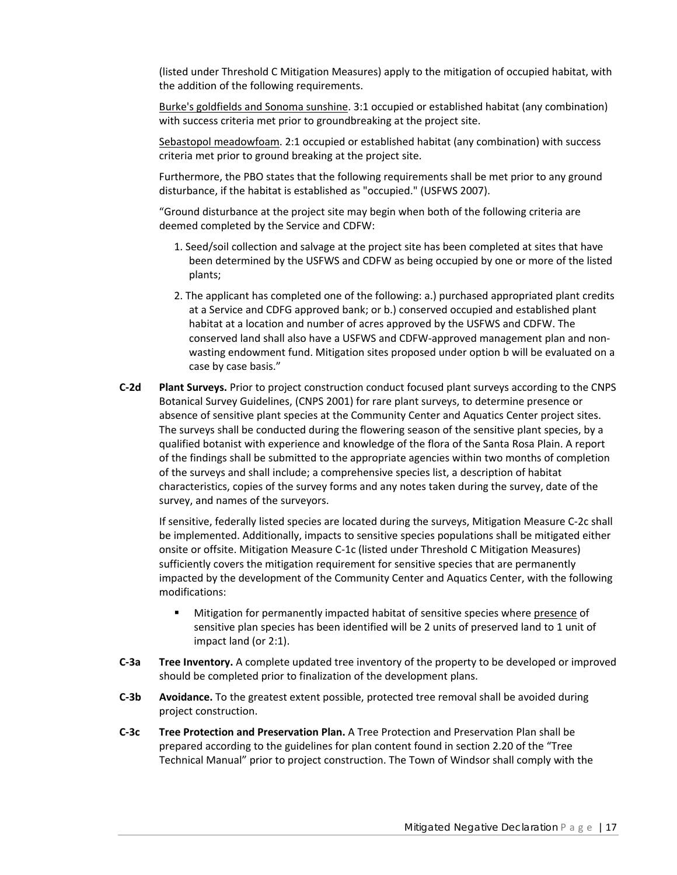(listed under Threshold C Mitigation Measures) apply to the mitigation of occupied habitat, with the addition of the following requirements.

Burke's goldfields and Sonoma sunshine. 3:1 occupied or established habitat (any combination) with success criteria met prior to groundbreaking at the project site.

Sebastopol meadowfoam. 2:1 occupied or established habitat (any combination) with success criteria met prior to ground breaking at the project site.

Furthermore, the PBO states that the following requirements shall be met prior to any ground disturbance, if the habitat is established as "occupied." (USFWS 2007).

"Ground disturbance at the project site may begin when both of the following criteria are deemed completed by the Service and CDFW:

- 1. Seed/soil collection and salvage at the project site has been completed at sites that have been determined by the USFWS and CDFW as being occupied by one or more of the listed plants;
- 2. The applicant has completed one of the following: a.) purchased appropriated plant credits at a Service and CDFG approved bank; or b.) conserved occupied and established plant habitat at a location and number of acres approved by the USFWS and CDFW. The conserved land shall also have a USFWS and CDFW‐approved management plan and non‐ wasting endowment fund. Mitigation sites proposed under option b will be evaluated on a case by case basis."
- **C‐2d Plant Surveys.** Prior to project construction conduct focused plant surveys according to the CNPS Botanical Survey Guidelines, (CNPS 2001) for rare plant surveys, to determine presence or absence of sensitive plant species at the Community Center and Aquatics Center project sites. The surveys shall be conducted during the flowering season of the sensitive plant species, by a qualified botanist with experience and knowledge of the flora of the Santa Rosa Plain. A report of the findings shall be submitted to the appropriate agencies within two months of completion of the surveys and shall include; a comprehensive species list, a description of habitat characteristics, copies of the survey forms and any notes taken during the survey, date of the survey, and names of the surveyors.

If sensitive, federally listed species are located during the surveys, Mitigation Measure C‐2c shall be implemented. Additionally, impacts to sensitive species populations shall be mitigated either onsite or offsite. Mitigation Measure C‐1c (listed under Threshold C Mitigation Measures) sufficiently covers the mitigation requirement for sensitive species that are permanently impacted by the development of the Community Center and Aquatics Center, with the following modifications:

- Mitigation for permanently impacted habitat of sensitive species where presence of sensitive plan species has been identified will be 2 units of preserved land to 1 unit of impact land (or 2:1).
- **C‐3a Tree Inventory.** A complete updated tree inventory of the property to be developed or improved should be completed prior to finalization of the development plans.
- **C‐3b Avoidance.** To the greatest extent possible, protected tree removal shall be avoided during project construction.
- **C‐3c Tree Protection and Preservation Plan.** A Tree Protection and Preservation Plan shall be prepared according to the guidelines for plan content found in section 2.20 of the "Tree Technical Manual" prior to project construction. The Town of Windsor shall comply with the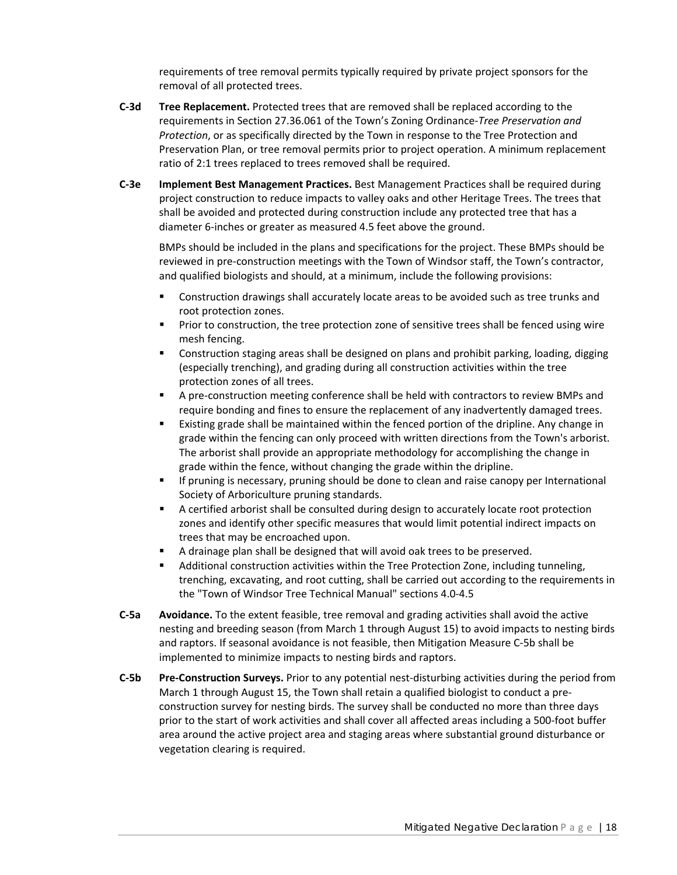requirements of tree removal permits typically required by private project sponsors for the removal of all protected trees.

- **C‐3d Tree Replacement.** Protected trees that are removed shall be replaced according to the requirements in Section 27.36.061 of the Town's Zoning Ordinance‐*Tree Preservation and Protection*, or as specifically directed by the Town in response to the Tree Protection and Preservation Plan, or tree removal permits prior to project operation. A minimum replacement ratio of 2:1 trees replaced to trees removed shall be required.
- **C‐3e Implement Best Management Practices.** Best Management Practices shall be required during project construction to reduce impacts to valley oaks and other Heritage Trees. The trees that shall be avoided and protected during construction include any protected tree that has a diameter 6‐inches or greater as measured 4.5 feet above the ground.

BMPs should be included in the plans and specifications for the project. These BMPs should be reviewed in pre-construction meetings with the Town of Windsor staff, the Town's contractor, and qualified biologists and should, at a minimum, include the following provisions:

- **Construction drawings shall accurately locate areas to be avoided such as tree trunks and** root protection zones.
- **Prior to construction, the tree protection zone of sensitive trees shall be fenced using wire** mesh fencing.
- Construction staging areas shall be designed on plans and prohibit parking, loading, digging (especially trenching), and grading during all construction activities within the tree protection zones of all trees.
- A pre-construction meeting conference shall be held with contractors to review BMPs and require bonding and fines to ensure the replacement of any inadvertently damaged trees.
- Existing grade shall be maintained within the fenced portion of the dripline. Any change in grade within the fencing can only proceed with written directions from the Town's arborist. The arborist shall provide an appropriate methodology for accomplishing the change in grade within the fence, without changing the grade within the dripline.
- If pruning is necessary, pruning should be done to clean and raise canopy per International Society of Arboriculture pruning standards.
- A certified arborist shall be consulted during design to accurately locate root protection zones and identify other specific measures that would limit potential indirect impacts on trees that may be encroached upon.
- A drainage plan shall be designed that will avoid oak trees to be preserved.
- Additional construction activities within the Tree Protection Zone, including tunneling, trenching, excavating, and root cutting, shall be carried out according to the requirements in the "Town of Windsor Tree Technical Manual" sections 4.0‐4.5
- **C‐5a Avoidance.** To the extent feasible, tree removal and grading activities shall avoid the active nesting and breeding season (from March 1 through August 15) to avoid impacts to nesting birds and raptors. If seasonal avoidance is not feasible, then Mitigation Measure C‐5b shall be implemented to minimize impacts to nesting birds and raptors.
- **C‐5b Pre‐Construction Surveys.** Prior to any potential nest‐disturbing activities during the period from March 1 through August 15, the Town shall retain a qualified biologist to conduct a pre‐ construction survey for nesting birds. The survey shall be conducted no more than three days prior to the start of work activities and shall cover all affected areas including a 500‐foot buffer area around the active project area and staging areas where substantial ground disturbance or vegetation clearing is required.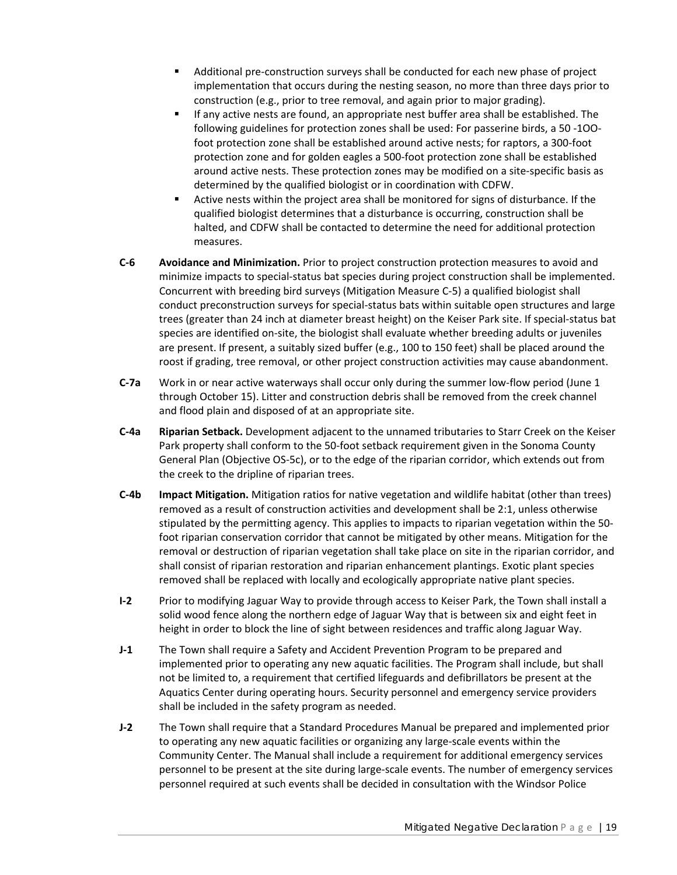- Additional pre-construction surveys shall be conducted for each new phase of project implementation that occurs during the nesting season, no more than three days prior to construction (e.g., prior to tree removal, and again prior to major grading).
- If any active nests are found, an appropriate nest buffer area shall be established. The following guidelines for protection zones shall be used: For passerine birds, a 50 ‐1OO‐ foot protection zone shall be established around active nests; for raptors, a 300‐foot protection zone and for golden eagles a 500‐foot protection zone shall be established around active nests. These protection zones may be modified on a site‐specific basis as determined by the qualified biologist or in coordination with CDFW.
- Active nests within the project area shall be monitored for signs of disturbance. If the qualified biologist determines that a disturbance is occurring, construction shall be halted, and CDFW shall be contacted to determine the need for additional protection measures.
- **C‐6 Avoidance and Minimization.** Prior to project construction protection measures to avoid and minimize impacts to special‐status bat species during project construction shall be implemented. Concurrent with breeding bird surveys (Mitigation Measure C‐5) a qualified biologist shall conduct preconstruction surveys for special‐status bats within suitable open structures and large trees (greater than 24 inch at diameter breast height) on the Keiser Park site. If special‐status bat species are identified on-site, the biologist shall evaluate whether breeding adults or juveniles are present. If present, a suitably sized buffer (e.g., 100 to 150 feet) shall be placed around the roost if grading, tree removal, or other project construction activities may cause abandonment.
- **C‐7a** Work in or near active waterways shall occur only during the summer low‐flow period (June 1 through October 15). Litter and construction debris shall be removed from the creek channel and flood plain and disposed of at an appropriate site.
- **C‐4a Riparian Setback.** Development adjacent to the unnamed tributaries to Starr Creek on the Keiser Park property shall conform to the 50‐foot setback requirement given in the Sonoma County General Plan (Objective OS‐5c), or to the edge of the riparian corridor, which extends out from the creek to the dripline of riparian trees.
- **C‐4b Impact Mitigation.** Mitigation ratios for native vegetation and wildlife habitat (other than trees) removed as a result of construction activities and development shall be 2:1, unless otherwise stipulated by the permitting agency. This applies to impacts to riparian vegetation within the 50‐ foot riparian conservation corridor that cannot be mitigated by other means. Mitigation for the removal or destruction of riparian vegetation shall take place on site in the riparian corridor, and shall consist of riparian restoration and riparian enhancement plantings. Exotic plant species removed shall be replaced with locally and ecologically appropriate native plant species.
- **I‐2** Prior to modifying Jaguar Way to provide through access to Keiser Park, the Town shall install a solid wood fence along the northern edge of Jaguar Way that is between six and eight feet in height in order to block the line of sight between residences and traffic along Jaguar Way.
- **J‐1** The Town shall require a Safety and Accident Prevention Program to be prepared and implemented prior to operating any new aquatic facilities. The Program shall include, but shall not be limited to, a requirement that certified lifeguards and defibrillators be present at the Aquatics Center during operating hours. Security personnel and emergency service providers shall be included in the safety program as needed.
- **J‐2** The Town shall require that a Standard Procedures Manual be prepared and implemented prior to operating any new aquatic facilities or organizing any large‐scale events within the Community Center. The Manual shall include a requirement for additional emergency services personnel to be present at the site during large‐scale events. The number of emergency services personnel required at such events shall be decided in consultation with the Windsor Police